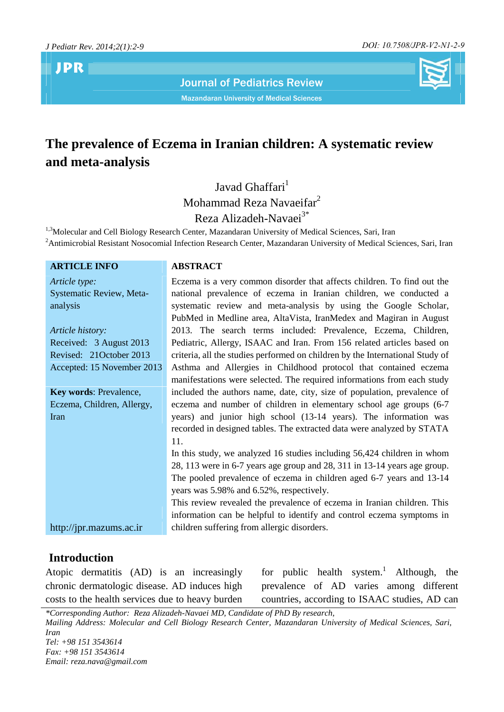**JPR**

Journal of Pediatrics Review

Mazandaran University of Medical Sciences



# **The prevalence of Eczema in Iranian children: A systematic review and meta-analysis**

Javad Ghaffari<sup>1</sup> Mohammad Reza Navaeifar<sup>2</sup> Reza Alizadeh-Navaei<sup>3\*</sup>

<sup>1,3</sup>Molecular and Cell Biology Research Center, Mazandaran University of Medical Sciences, Sari, Iran <sup>2</sup> Antimicrobial Resistant Nosocomial Infection Research Center, Mazandaran University of Medical Sciences, Sari, Iran

#### **ARTICLE INFO ABSTRACT**

*Article type:* Systematic Review, Meta analysis

*Article history:* Received: 3 August 2013 Revised: 21October 2013 Accepted: 15 November 2013

**Key words**: Prevalence, Eczema, Children, Allergy, Iran

Eczema is a very common disorder that affects children. To find out the national prevalence of eczema in Iranian children, we conducted a systematic review and meta-analysis by using the Google Scholar, PubMed in Medline area, AltaVista, IranMedex and Magiran in August 2013. The search terms included: Prevalence, Eczema, Children, Pediatric, Allergy, ISAAC and Iran. From 156 related articles based on criteria, all the studies performed on children by the International Study of Asthma and Allergies in Childhood protocol that contained eczema manifestations were selected. The required informations from each study included the authors name, date, city, size of population, prevalence of eczema and number of children in elementary school age groups (6-7 years) and junior high school (13-14 years). The information was recorded in designed tables. The extracted data were analyzed by STATA 11. In this study, we analyzed 16 studies including 56,424 children in whom

28, 113 were in 6-7 years age group and 28, 311 in 13-14 years age group. The pooled prevalence of eczema in children aged 6-7 years and 13-14 years was 5.98% and 6.52%, respectively.

This review revealed the prevalence of eczema in Iranian children. This information can be helpful to identify and control eczema symptoms in children suffering from allergic disorders. http://jpr.mazums.ac.ir

### **Introduction**

Atopic dermatitis (AD) is an increasingly chronic dermatologic disease. AD induces high costs to the health services due to heavy burden for public health system.<sup>1</sup> Although, the prevalence of AD varies among different countries, according to ISAAC studies, AD can

*\*Corresponding Author: Reza Alizadeh-Navaei MD, Candidate of PhD By research, Mailing Address: Molecular and Cell Biology Research Center, Mazandaran University of Medical Sciences, Sari, Iran Tel: +98 151 3543614 Fax: +98 151 3543614 Email: reza.nava@gmail.com*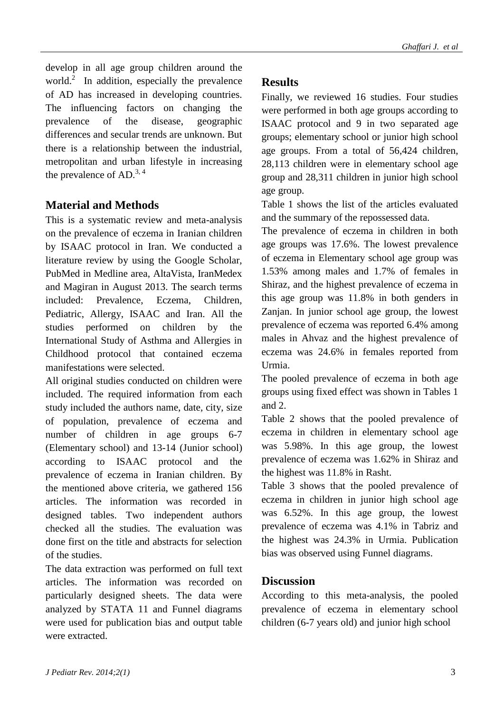develop in all age group children around the world.<sup>2</sup> In addition, especially the prevalence  $\bf{Re}$ of AD has increased in developing countries. The influencing factors on changing the prevalence of the disease, geographic differences and secular trends are unknown. But there is a relationship between the industrial, metropolitan and urban lifestyle in increasing the prevalence of  $AD<sup>3, 4</sup>$ 

# **Material and Methods**

This is a systematic review and meta-analysis on the prevalence of eczema in Iranian children by ISAAC protocol in Iran. We conducted a literature review by using the Google Scholar, PubMed in Medline area, AltaVista, IranMedex and Magiran in August 2013. The search terms included: Prevalence, Eczema, Children, Pediatric, Allergy, ISAAC and Iran. All the studies performed on children by the International Study of Asthma and Allergies in Childhood protocol that contained eczema manifestations were selected.

All original studies conducted on children were included. The required information from each study included the authors name, date, city, size of population, prevalence of eczema and number of children in age groups 6-7 (Elementary school) and 13-14 (Junior school) according to ISAAC protocol and the prevalence of eczema in Iranian children. By the mentioned above criteria, we gathered 156 articles. The information was recorded in designed tables. Two independent authors checked all the studies. The evaluation was done first on the title and abstracts for selection of the studies.

The data extraction was performed on full text articles. The information was recorded on particularly designed sheets. The data were analyzed by STATA 11 and Funnel diagrams were used for publication bias and output table were extracted.

## **Results**

Finally, we reviewed 16 studies. Four studies were performed in both age groups according to ISAAC protocol and 9 in two separated age groups; elementary school or junior high school age groups. From a total of 56,424 children, 28,113 children were in elementary school age group and 28,311 children in junior high school age group.

Table 1 shows the list of the articles evaluated and the summary of the repossessed data.

The prevalence of eczema in children in both age groups was 17.6%. The lowest prevalence of eczema in Elementary school age group was 1.53% among males and 1.7% of females in Shiraz, and the highest prevalence of eczema in this age group was 11.8% in both genders in Zanjan. In junior school age group, the lowest prevalence of eczema was reported 6.4% among males in Ahvaz and the highest prevalence of eczema was 24.6% in females reported from Urmia.

The pooled prevalence of eczema in both age groups using fixed effect was shown in Tables 1 and 2.

Table 2 shows that the pooled prevalence of eczema in children in elementary school age was 5.98%. In this age group, the lowest prevalence of eczema was 1.62% in Shiraz and the highest was 11.8% in Rasht.

Table 3 shows that the pooled prevalence of eczema in children in junior high school age was 6.52%. In this age group, the lowest prevalence of eczema was 4.1% in Tabriz and the highest was 24.3% in Urmia. Publication bias was observed using Funnel diagrams.

### **Discussion**

According to this meta-analysis, the pooled prevalence of eczema in elementary school children (6-7 years old) and junior high school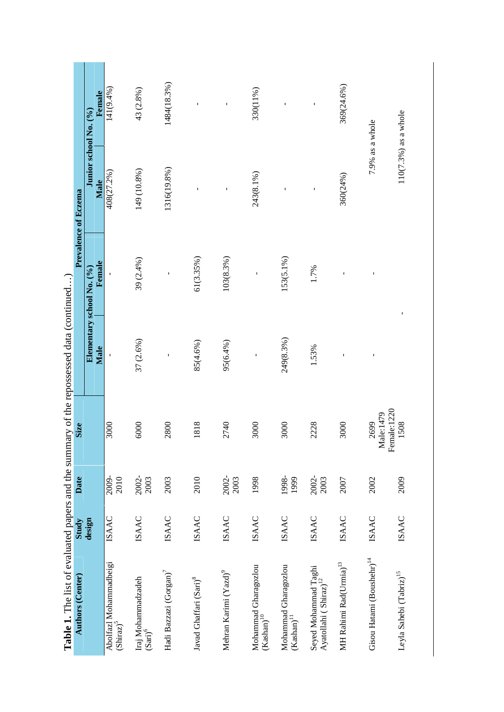| Table 1. The list of evaluated papers and the summary of the repossessed data (continued)<br><b>Authors (Center)</b> | Study        | Date          | <b>Size</b>         |                                   | Prevalence of Eczema |                               |              |
|----------------------------------------------------------------------------------------------------------------------|--------------|---------------|---------------------|-----------------------------------|----------------------|-------------------------------|--------------|
|                                                                                                                      | design       |               |                     | Elementary school No. (%)<br>Male | Female               | Junior school No. (%)<br>Male | Female       |
| Abolfazl Mohammadbeigi<br>(Shiraz) <sup>5</sup>                                                                      | <b>ISAAC</b> | 2009-<br>2010 | 3000                |                                   |                      | 408(27.2%)                    | 141(9.4%)    |
| Iraj Mohammadzadeh<br>$\mathrm{(Sani)}^6$                                                                            | <b>ISAAC</b> | 2002-<br>2003 | 6000                | 37 (2.6%)                         | 39 (2.4%)            | 149 (10.8%)                   | 43 (2.8%)    |
| Hadi Bazzazi (Gorgan) <sup>7</sup>                                                                                   | <b>ISAAC</b> | 2003          | 2800                |                                   | Ï                    | 1316(19.8%)                   | 1484(18.3%)  |
| Javad Ghaffari (Sari) <sup>8</sup>                                                                                   | <b>ISAAC</b> | 2010          | 1818                | 85(4.6%)                          | 61(3.35%)            |                               | Ţ            |
| Mehran Karimi (Yazd) <sup>9</sup>                                                                                    | <b>ISAAC</b> | 2002-<br>2003 | 2740                | 95(6.4%)                          | 103(8.3%)            |                               | $\mathbf{I}$ |
| Mohammad Gharagozlou<br>$\left(Kashan\right)^{10}$                                                                   | <b>ISAAC</b> | 1998          | 3000                | $\mathbf I$                       | $\mathbf{I}$         | 243(8.1%)                     | 330(11%)     |
| Mohammad Gharagozlou<br>$\left(Kashan\right)^{11}$                                                                   | <b>ISAAC</b> | 1998-<br>1999 | 3000                | 249(8.3%)                         | 153(5.1%)            |                               |              |
| Seyed Mohammad Taghi<br>Ayatollahi (Shiraz) $^{12}$                                                                  | <b>ISAAC</b> | 2002-<br>2003 | 2228                | 1.53%                             | 1.7%                 | $\mathbf I$                   | $\mathbf I$  |
| $\mathbf{MH}$ Rahimi Rad<br>(Urmia) $^{13}$                                                                          | <b>ISAAC</b> | 2007          | 3000                |                                   |                      | 360(24%)                      | 369(24.6%)   |
| Gisou Hatami (Boushehr) <sup>14</sup>                                                                                | <b>ISAAC</b> | 2002          | Male:1479<br>2699   |                                   |                      | 7.9% as a whole               |              |
| Leyla Sahebi ${\rm (Tabriz)}^{15}$                                                                                   | <b>ISAAC</b> | 2009          | Female:1220<br>1508 | Ţ                                 |                      | 110(7.3%) as a whole          |              |
|                                                                                                                      |              |               |                     |                                   |                      |                               |              |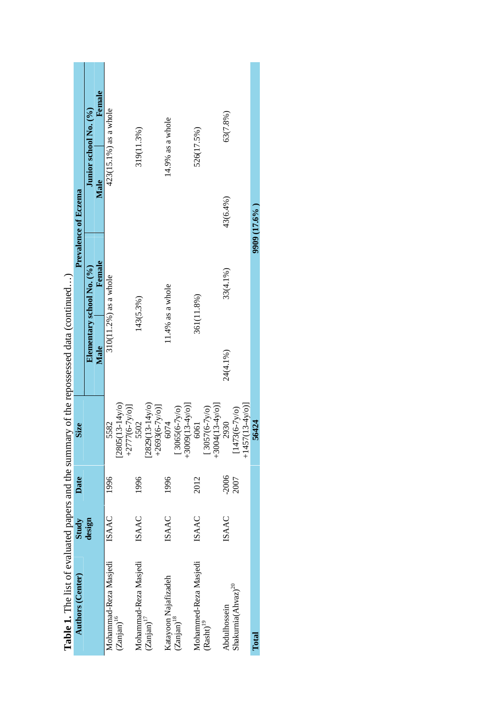| <b>Authors (Center)</b>                         | Study        | Date    | <b>Size</b>                                                                                       |          |                           | <b>Prevalence of Eczema</b> |                       |
|-------------------------------------------------|--------------|---------|---------------------------------------------------------------------------------------------------|----------|---------------------------|-----------------------------|-----------------------|
|                                                 | design       |         |                                                                                                   |          | Elementary school No. (%) |                             | Junior school No. (%) |
|                                                 |              |         |                                                                                                   | Male     | Female                    | Male                        | Female                |
|                                                 | <b>ISAAC</b> | 1996    | 5582                                                                                              |          | 310(11.2%) as a whole     |                             | 423(15.1%) as a whole |
| Mohammad-Reza Masjedi<br>(Zanjan) <sup>16</sup> |              |         | $\begin{array}{c} [2805(13\text{-}14\text{y/o})\\+2777(6\text{-}7\text{y/o})]\\ 5502 \end{array}$ |          |                           |                             |                       |
| Mohammad-Reza Masjedi                           | <b>ISAAC</b> | 1996    |                                                                                                   |          | 143(5.3%)                 |                             | 319(11.3%)            |
| $(Zanjam)^{17}$                                 |              |         | $[2829(13-14y/\circ)$<br>$+2693(6-7y/0)$ ]                                                        |          |                           |                             |                       |
| Katayoon Najafizadeh                            | <b>ISAAC</b> | 1996    | 6074                                                                                              |          | 11.4% as a whole          |                             | 14.9% as a whole      |
| $(Zanjam)^{18}$                                 |              |         | $[3065(6-7y/\sigma)]$<br>+3009(13-4y/o)]                                                          |          |                           |                             |                       |
| Mohammed-Reza Masjedi                           | <b>ISAAC</b> | 2012    | 6061                                                                                              |          | 361(11.8%)                |                             | 526(17.5%)            |
| $\left(\mathrm{Rash}t\right)^{19}$              |              |         | $[3057(6-7y/\text{o})$<br>+3004(13-4y/o)]                                                         |          |                           |                             |                       |
|                                                 |              |         |                                                                                                   |          |                           |                             |                       |
| Abdulhossein                                    | <b>ISAAC</b> | $-2006$ | 2930                                                                                              | 24(4.1%) | 33(4.1%)                  | 43(6.4%)                    | 63(7.8%)              |
| Shakurnia(Abvac) <sup>20</sup>                  |              | 2007    | $[1473(6-7y/\sigma)]$                                                                             |          |                           |                             |                       |
|                                                 |              |         | $+1457(13-4y/0)$                                                                                  |          |                           |                             |                       |
| Total                                           |              |         | 56424                                                                                             |          |                           | 9909 (17.6%)                |                       |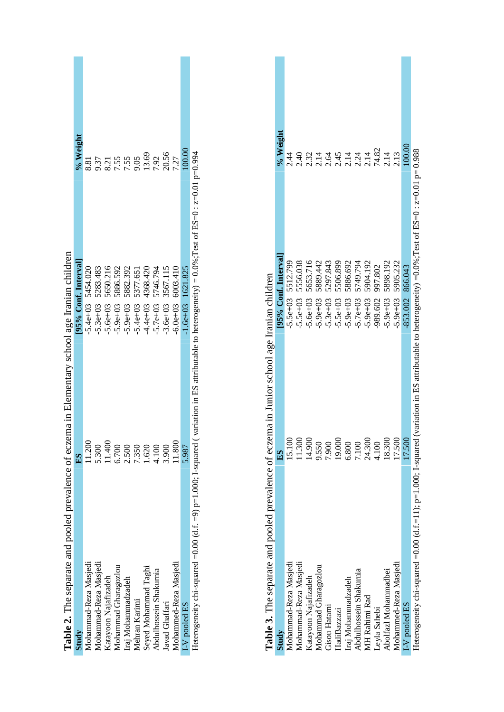| <b>Table 2.</b> The separate and pooled prevalence of eczema in Elementary school age Iranian children |                          |                                                                                                            |
|--------------------------------------------------------------------------------------------------------|--------------------------|------------------------------------------------------------------------------------------------------------|
| 요)<br>비                                                                                                | [95% Conf. Interval]     | % Weight                                                                                                   |
| 11.200                                                                                                 | $5.4e+03$ $5454.020$     | 8.81                                                                                                       |
| 5.300                                                                                                  | 5283.483<br>$5.3e+03$    | 9.37                                                                                                       |
| 11.400                                                                                                 | 5650.216<br>$-5.6e + 03$ | 8.21<br>7.55<br>7.55<br>9.05<br>13.69                                                                      |
| 6.700                                                                                                  | 5886.592<br>$-5.9e + 03$ |                                                                                                            |
| 2.500                                                                                                  | 5882.392<br>$-5.9e + 03$ |                                                                                                            |
| 7.350                                                                                                  | 5377.651                 |                                                                                                            |
| 1.620                                                                                                  | 4368.420<br>$-4.4e+03$   |                                                                                                            |
| 4.100                                                                                                  | 5746.794<br>$5.7e+03$    |                                                                                                            |
| 3.900                                                                                                  | 3567.115<br>$3.6e + 03$  | 7.92<br>20.56                                                                                              |
| 11.800                                                                                                 | $6.0e+03$ 6003.410       | 7.27                                                                                                       |
| 5.987                                                                                                  | $1.6e+03$ $1621.825$     | 00.00                                                                                                      |
| Heterogeneity chi-squared =0.00 (d.f. =9) $p=1.000$ ; I-squared                                        |                          |                                                                                                            |
|                                                                                                        |                          | (variation in ES attributable to heterogeneity) = $0.0\%$ ; Test of ES=0 : $z=0.01$ p=0.94<br>$-5.4e + 03$ |

 $\mathcal{L}^{\text{max}}$ 

| I-V pooled ES                                                                                                                                     | 5.987  | $-1.6e+03$ $1621.825$                                                                | 100.00                       |  |
|---------------------------------------------------------------------------------------------------------------------------------------------------|--------|--------------------------------------------------------------------------------------|------------------------------|--|
| Heterogeneity chi-squared =0.00 (d.f. =9) p=1.000; L-squared (variation in ES attributable to heterogeneity) = 0.0%;Test of ES=0: $z=0.01$ p=0.94 |        |                                                                                      |                              |  |
|                                                                                                                                                   |        |                                                                                      |                              |  |
|                                                                                                                                                   |        |                                                                                      |                              |  |
| Table 3. The separate and pooled prevalence of eczema in Junior school age Iranian children                                                       |        |                                                                                      |                              |  |
| Study                                                                                                                                             | ES     | [95% Conf. Interval]                                                                 | % Weight                     |  |
| Mohammad-Reza Masjedi                                                                                                                             | 15.100 | $-5.5e+03$ 5512.799                                                                  | 2.44                         |  |
| Mohammad-Reza Masjedi                                                                                                                             | 11.300 | 5556.038<br>$-5.5e + 03$                                                             | 2.40                         |  |
| Katayoon Najafizadeh                                                                                                                              | 14.900 | 5653.716<br>$5.6e + 03$                                                              |                              |  |
| Mohammad Gharagozlou                                                                                                                              | 9.550  | 5889.442<br>$-5.9e + 03$                                                             |                              |  |
| Gisou Hatami                                                                                                                                      | 7.900  | 5297.843<br>$-5.3e + 03$                                                             |                              |  |
| HadiBazzazi                                                                                                                                       | 19.000 | 5506.899<br>$5.5e + 03$                                                              | 214454448413<br>214451244213 |  |
| Iraj Mohammadzadeh                                                                                                                                | 6.800  | 5886.692<br>$-5.9e + 03$                                                             |                              |  |
| Abdulhossein Shakurnia                                                                                                                            | 7.100  | 5749.794<br>5904.192<br>$-5.7e+03$                                                   |                              |  |
| MH Rahimi Rad                                                                                                                                     | 24.300 | $5.9e + 03$                                                                          |                              |  |
| Leyla Sahebi                                                                                                                                      | 4.100  | 997.802<br>989.602                                                                   |                              |  |
| Abolfazl Mohammadbei                                                                                                                              | 18.300 | 5898.192<br>$5.9e + 03$                                                              |                              |  |
| Mohammed-Reza Masjedi                                                                                                                             | 17.500 | 5905.232<br>$5.9e + 03$                                                              |                              |  |
| I-V pooled ES                                                                                                                                     | 17.500 | 866.043<br>$-853.002$                                                                | 100.00                       |  |
| Heterogeneity chi-squared =0.00 (d.f.=11); p=1.000; I-squared                                                                                     |        | (variation in ES attributable to heterogeneity) =0.0%;Test of ES=0: $z=0.01$ p=0.988 |                              |  |
|                                                                                                                                                   |        |                                                                                      |                              |  |
|                                                                                                                                                   |        |                                                                                      |                              |  |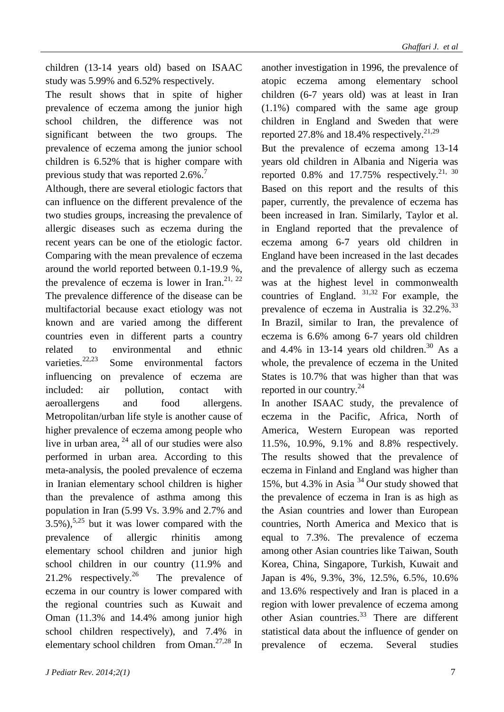children (13-14 years old) based on ISAAC study was 5.99% and 6.52% respectively.

The result shows that in spite of higher prevalence of eczema among the junior high school children, the difference was not significant between the two groups. The prevalence of eczema among the junior school children is 6.52% that is higher compare with previous study that was reported  $2.6\%$ .<sup>7</sup>

Although, there are several etiologic factors that can influence on the different prevalence of the two studies groups, increasing the prevalence of allergic diseases such as eczema during the recent years can be one of the etiologic factor. Comparing with the mean prevalence of eczema around the world reported between 0.1-19.9 %, the prevalence of eczema is lower in Iran.<sup>21, 22</sup> The prevalence difference of the disease can be multifactorial because exact etiology was not known and are varied among the different countries even in different parts a country related to environmental and ethnic varieties.<sup>22,23</sup> Some environmental factors influencing on prevalence of eczema are included: air pollution, contact with aeroallergens and food allergens. Metropolitan/urban life style is another cause of higher prevalence of eczema among people who live in urban area,  $^{24}$  all of our studies were also performed in urban area. According to this meta-analysis, the pooled prevalence of eczema in Iranian elementary school children is higher than the prevalence of asthma among this population in Iran (5.99 Vs. 3.9% and 2.7% and  $3.5\%$ ),<sup>5,25</sup> but it was lower compared with the prevalence of allergic rhinitis among elementary school children and junior high school children in our country (11.9% and 21.2% respectively.<sup>26</sup> The prevalence of eczema in our country is lower compared with the regional countries such as Kuwait and Oman (11.3% and 14.4% among junior high school children respectively), and 7.4% in elementary school children from Oman.<sup>27,28</sup> In

another investigation in 1996, the prevalence of atopic eczema among elementary school children (6-7 years old) was at least in Iran (1.1%) compared with the same age group children in England and Sweden that were reported 27.8% and 18.4% respectively.<sup>21,29</sup>

But the prevalence of eczema among 13-14 years old children in Albania and Nigeria was reported  $0.8\%$  and  $17.75\%$  respectively.<sup>21, 30</sup> Based on this report and the results of this paper, currently, the prevalence of eczema has been increased in Iran. Similarly, Taylor et al. in England reported that the prevalence of eczema among 6-7 years old children in England have been increased in the last decades and the prevalence of allergy such as eczema was at the highest level in commonwealth countries of England. 31,32 For example, the prevalence of eczema in Australia is 32.2%.<sup>33</sup> In Brazil, similar to Iran, the prevalence of eczema is 6.6% among 6-7 years old children and  $4.4\%$  in 13-14 years old children.<sup>30</sup> As a whole, the prevalence of eczema in the United States is 10.7% that was higher than that was reported in our country. $24$ 

In another ISAAC study, the prevalence of eczema in the Pacific, Africa, North of America, Western European was reported 11.5%, 10.9%, 9.1% and 8.8% respectively. The results showed that the prevalence of eczema in Finland and England was higher than 15%, but 4.3% in Asia <sup>34</sup> Our study showed that the prevalence of eczema in Iran is as high as the Asian countries and lower than European countries, North America and Mexico that is equal to 7.3%. The prevalence of eczema among other Asian countries like Taiwan, South Korea, China, Singapore, Turkish, Kuwait and Japan is 4%, 9.3%, 3%, 12.5%, 6.5%, 10.6% and 13.6% respectively and Iran is placed in a region with lower prevalence of eczema among other Asian countries. $33$  There are different statistical data about the influence of gender on prevalence of eczema. Several studies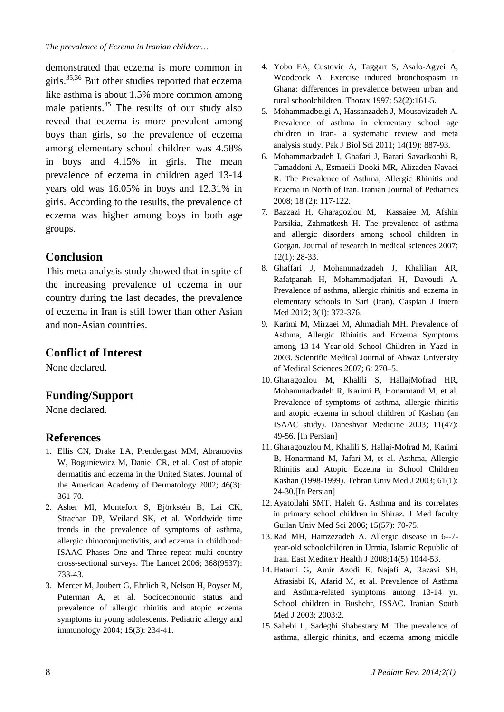demonstrated that eczema is more common in girls.35,36 But other studies reported that eczema like asthma is about 1.5% more common among male patients. $35$  The results of our study also reveal that eczema is more prevalent among boys than girls, so the prevalence of eczema among elementary school children was 4.58% in boys and 4.15% in girls. The mean prevalence of eczema in children aged 13-14 years old was 16.05% in boys and 12.31% in girls. According to the results, the prevalence of eczema was higher among boys in both age groups.

#### **Conclusion**

This meta-analysis study showed that in spite of the increasing prevalence of eczema in our country during the last decades, the prevalence of eczema in Iran is still lower than other Asian and non-Asian countries.

#### **Conflict of Interest**

None declared.

### **Funding/Support**

None declared.

### **References**

- 1. Ellis CN, Drake LA, Prendergast MM, Abramovits W, Boguniewicz M, Daniel CR, et al. Cost of atopic dermatitis and eczema in the United States. Journal of the American Academy of Dermatology 2002; 46(3): 361-70.
- 2. Asher MI, Montefort S, Björkstén B, Lai CK, Strachan DP, Weiland SK, et al. Worldwide time trends in the prevalence of symptoms of asthma, allergic rhinoconjunctivitis, and eczema in childhood: ISAAC Phases One and Three repeat multi country cross-sectional surveys. The Lancet 2006; 368(9537): 733-43.
- 3. Mercer M, Joubert G, Ehrlich R, Nelson H, Poyser M, Puterman A, et al. Socioeconomic status and prevalence of allergic rhinitis and atopic eczema symptoms in young adolescents. Pediatric allergy and immunology 2004; 15(3): 234-41.
- 4. Yobo EA, Custovic A, Taggart S, Asafo-Agyei A, Woodcock A. Exercise induced bronchospasm in Ghana: differences in prevalence between urban and rural schoolchildren. Thorax 1997; 52(2):161-5.
- 5. Mohammadbeigi A, Hassanzadeh J, Mousavizadeh A. Prevalence of asthma in elementary school age children in Iran- a systematic review and meta analysis study. Pak J Biol Sci 2011; 14(19): 887-93.
- 6. Mohammadzadeh I, Ghafari J, Barari Savadkoohi R, Tamaddoni A, Esmaeili Dooki MR, Alizadeh Navaei R. The Prevalence of Asthma, Allergic Rhinitis and Eczema in North of Iran. Iranian Journal of Pediatrics 2008; 18 (2): 117-122.
- 7. Bazzazi H, Gharagozlou M, Kassaiee M, Afshin Parsikia, Zahmatkesh H. The prevalence of asthma and allergic disorders among school children in Gorgan. Journal of research in medical sciences 2007; 12(1): 28-33.
- 8. Ghaffari J, Mohammadzadeh J, Khalilian AR, Rafatpanah H, Mohammadjafari H, Davoudi A. Prevalence of asthma, allergic rhinitis and eczema in elementary schools in Sari (Iran). Caspian J Intern Med 2012; 3(1): 372-376.
- 9. Karimi M, Mirzaei M, Ahmadiah MH. Prevalence of Asthma, Allergic Rhinitis and Eczema Symptoms among 13-14 Year-old School Children in Yazd in 2003. Scientific Medical Journal of Ahwaz University of Medical Sciences 2007; 6: 270–5.
- 10. Gharagozlou M, Khalili S, HallajMofrad HR, Mohammadzadeh R, Karimi B, Honarmand M, et al. Prevalence of symptoms of asthma, allergic rhinitis and atopic eczema in school children of Kashan (an ISAAC study). Daneshvar Medicine 2003; 11(47): 49-56. [In Persian]
- 11. Gharagouzlou M, Khalili S, Hallaj-Mofrad M, Karimi B, Honarmand M, Jafari M, et al. Asthma, Allergic Rhinitis and Atopic Eczema in School Children Kashan (1998-1999). Tehran Univ Med J 2003; 61(1): 24-30.[In Persian]
- 12. Ayatollahi SMT, Haleh G. Asthma and its correlates in primary school children in Shiraz. J Med faculty Guilan Univ Med Sci 2006; 15(57): 70-75.
- 13.Rad MH, Hamzezadeh A. Allergic disease in 6--7 year-old schoolchildren in Urmia, Islamic Republic of Iran. East Mediterr Health J 2008;14(5):1044-53.
- 14. Hatami G, Amir Azodi E, Najafi A, Razavi SH, Afrasiabi K, Afarid M, et al. Prevalence of Asthma and Asthma-related symptoms among 13-14 yr. School children in Bushehr, ISSAC. Iranian South Med J 2003; 2003:2.
- 15. Sahebi L, Sadeghi Shabestary M. The prevalence of asthma, allergic rhinitis, and eczema among middle